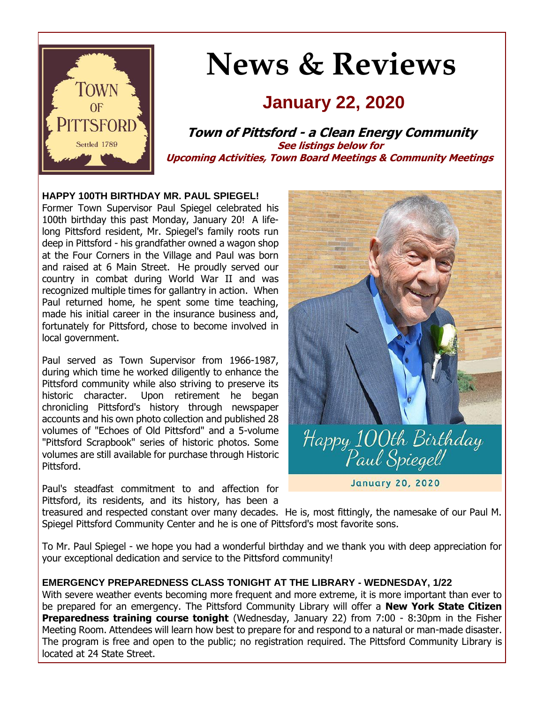

# **News & Reviews**

## **January 22, 2020**

**Town of Pittsford - a Clean Energy Community See listings below for Upcoming Activities, Town Board Meetings & Community Meetings**

#### **HAPPY 100TH BIRTHDAY MR. PAUL SPIEGEL!**

Former Town Supervisor Paul Spiegel celebrated his 100th birthday this past Monday, January 20! A lifelong Pittsford resident, Mr. Spiegel's family roots run deep in Pittsford - his grandfather owned a wagon shop at the Four Corners in the Village and Paul was born and raised at 6 Main Street. He proudly served our country in combat during World War II and was recognized multiple times for gallantry in action. When Paul returned home, he spent some time teaching, made his initial career in the insurance business and, fortunately for Pittsford, chose to become involved in local government.

Paul served as Town Supervisor from 1966-1987, during which time he worked diligently to enhance the Pittsford community while also striving to preserve its historic character. Upon retirement he began chronicling Pittsford's history through newspaper accounts and his own photo collection and published 28 volumes of "Echoes of Old Pittsford" and a 5-volume "Pittsford Scrapbook" series of historic photos. Some volumes are still available for purchase through Historic Pittsford.

Paul's steadfast commitment to and affection for Pittsford, its residents, and its history, has been a



**January 20, 2020** 

treasured and respected constant over many decades. He is, most fittingly, the namesake of our Paul M. Spiegel Pittsford Community Center and he is one of Pittsford's most favorite sons.

To Mr. Paul Spiegel - we hope you had a wonderful birthday and we thank you with deep appreciation for your exceptional dedication and service to the Pittsford community!

#### **EMERGENCY PREPAREDNESS CLASS TONIGHT AT THE LIBRARY - WEDNESDAY, 1/22**

With severe weather events becoming more frequent and more extreme, it is more important than ever to be prepared for an emergency. The Pittsford Community Library will offer a **New York State Citizen Preparedness training course tonight** (Wednesday, January 22) from 7:00 - 8:30pm in the Fisher Meeting Room. Attendees will learn how best to prepare for and respond to a natural or man-made disaster. The program is free and open to the public; no registration required. The Pittsford Community Library is located at 24 State Street.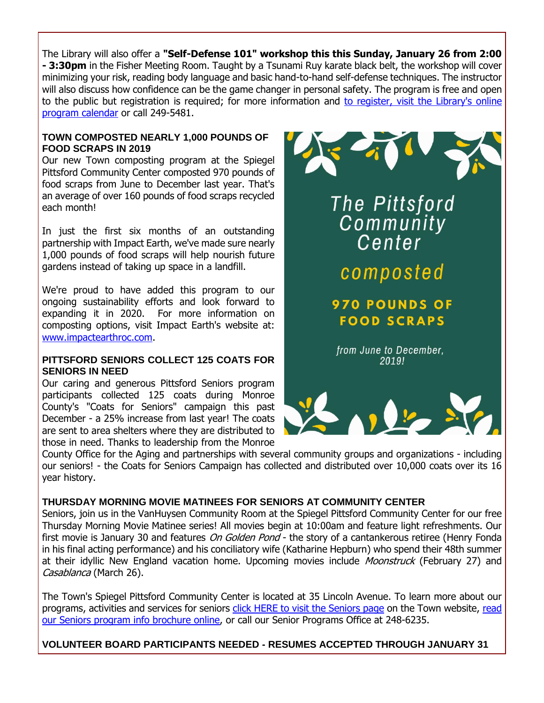The Library will also offer a **"Self-Defense 101" workshop this this Sunday, January 26 from 2:00 - 3:30pm** in the Fisher Meeting Room. Taught by a Tsunami Ruy karate black belt, the workshop will cover minimizing your risk, reading body language and basic hand-to-hand self-defense techniques. The instructor will also discuss how confidence can be the game changer in personal safety. The program is free and open to the public but registration is required; for more information and [to register, visit the Library's online](http://r20.rs6.net/tn.jsp?f=001LDSDyJIwQJXJ6aOceqTTuB5RiZpptNpcQhHHBWDykI7TSGontpIgeQM6GJCX9m70vH_7Nyb0YWXNMh3c022CQMzeUcaG2e-smvdfU4zRHQakZd9sTcwo7MitGvDMeWJ4ooMfw9PrRI8Pwm9SxQWeTAu2ZgSzrdLvc3b-M7bQKzHTUwpYL3oRYoHR6SXtC5QdukPqdtjfMIstAwuLNoFvjifPVuHbTE1VqGqvkHs6Uqtqbx4sFDNyKF1UcFwhS2PWUVJ0Iy8ip0lnWOMa9HkNM-30uN_-wkA8fRi_2sR5F_OFMCZebNc-PulR-f6-9myumAbhMJOYv_9a1sh0h7iyjGh4tydt53tb5sijAqXGITw6IMBseg_9vlUgNZA16Zt45w5IFcmabhZBbTwRfvUXyA==&c=R7aRLViIehQ0cKgRyUCsXuoRGqUOroMdrw1gVZ6oICfol1BYwUeIeQ==&ch=9mczUhnxsM6ryE-BkTjwlFkSeaPZHcPk4hLOebQFsXzOJG3I1jrFJA==)  [program calendar](http://r20.rs6.net/tn.jsp?f=001LDSDyJIwQJXJ6aOceqTTuB5RiZpptNpcQhHHBWDykI7TSGontpIgeQM6GJCX9m70vH_7Nyb0YWXNMh3c022CQMzeUcaG2e-smvdfU4zRHQakZd9sTcwo7MitGvDMeWJ4ooMfw9PrRI8Pwm9SxQWeTAu2ZgSzrdLvc3b-M7bQKzHTUwpYL3oRYoHR6SXtC5QdukPqdtjfMIstAwuLNoFvjifPVuHbTE1VqGqvkHs6Uqtqbx4sFDNyKF1UcFwhS2PWUVJ0Iy8ip0lnWOMa9HkNM-30uN_-wkA8fRi_2sR5F_OFMCZebNc-PulR-f6-9myumAbhMJOYv_9a1sh0h7iyjGh4tydt53tb5sijAqXGITw6IMBseg_9vlUgNZA16Zt45w5IFcmabhZBbTwRfvUXyA==&c=R7aRLViIehQ0cKgRyUCsXuoRGqUOroMdrw1gVZ6oICfol1BYwUeIeQ==&ch=9mczUhnxsM6ryE-BkTjwlFkSeaPZHcPk4hLOebQFsXzOJG3I1jrFJA==) or call 249-5481.

#### **TOWN COMPOSTED NEARLY 1,000 POUNDS OF FOOD SCRAPS IN 2019**

Our new Town composting program at the Spiegel Pittsford Community Center composted 970 pounds of food scraps from June to December last year. That's an average of over 160 pounds of food scraps recycled each month!

In just the first six months of an outstanding partnership with Impact Earth, we've made sure nearly 1,000 pounds of food scraps will help nourish future gardens instead of taking up space in a landfill.

We're proud to have added this program to our ongoing sustainability efforts and look forward to expanding it in 2020. For more information on composting options, visit Impact Earth's website at: [www.impactearthroc.com.](http://r20.rs6.net/tn.jsp?f=001LDSDyJIwQJXJ6aOceqTTuB5RiZpptNpcQhHHBWDykI7TSGontpIgebInkbNiAsOlnPflNCkmBnp_BSVLDQZoLdFRgxgluk2Qfez_iKF_sm_8eTvWQgoUVI4qlPfnsgBhsNPPkZuFcISRzmlVdtgED_LBfbwyLUvgzx_E3XCF_--O1WvF2GQEaR0RsS8rlUJqCtEHPN-tfDJyJaWgDXFsHaOzJ51g6tLJTS9FI650mD23GwbRy7z7O97au_ckZ0kW8xfkotg-oDc_Uu5LvXoq5Tu9fbqP0cKBc2S817-Ulpc=&c=R7aRLViIehQ0cKgRyUCsXuoRGqUOroMdrw1gVZ6oICfol1BYwUeIeQ==&ch=9mczUhnxsM6ryE-BkTjwlFkSeaPZHcPk4hLOebQFsXzOJG3I1jrFJA==)

#### **PITTSFORD SENIORS COLLECT 125 COATS FOR SENIORS IN NEED**

Our caring and generous Pittsford Seniors program participants collected 125 coats during Monroe County's "Coats for Seniors" campaign this past December - a 25% increase from last year! The coats are sent to area shelters where they are distributed to those in need. Thanks to leadership from the Monroe





County Office for the Aging and partnerships with several community groups and organizations - including our seniors! - the Coats for Seniors Campaign has collected and distributed over 10,000 coats over its 16 year history.

#### **THURSDAY MORNING MOVIE MATINEES FOR SENIORS AT COMMUNITY CENTER**

Seniors, join us in the VanHuysen Community Room at the Spiegel Pittsford Community Center for our free Thursday Morning Movie Matinee series! All movies begin at 10:00am and feature light refreshments. Our first movie is January 30 and features On Golden Pond - the story of a cantankerous retiree (Henry Fonda in his final acting performance) and his conciliatory wife (Katharine Hepburn) who spend their 48th summer at their idyllic New England vacation home. Upcoming movies include Moonstruck (February 27) and Casablanca (March 26).

The Town's Spiegel Pittsford Community Center is located at 35 Lincoln Avenue. To learn more about our programs, activities and services for seniors [click HERE to visit the Seniors page](http://r20.rs6.net/tn.jsp?f=001LDSDyJIwQJXJ6aOceqTTuB5RiZpptNpcQhHHBWDykI7TSGontpIgeWMvhZeza3--6BknxTcdAjh-3O6bDMAP-B0f-yrZBygy7aNw-tXpTKZL_XmSOU29i9IR9YH_Qnv5H8kJjWzelPVykUnFYVF6AScfN18w43EwRSCyrx07gWTNV6QlCcNeMJy8IzXlfYh-B-dNeKvPpxFgecgpEviFqo8Qc55vKpIBMfIeWOlmjaAFTJFY3r-sEPCklg6s9I9kSfPc6gN2TMHVmNYvEotcOjzuAibfwDK2mJ8mhG_wvkKKeFOWaXuN1A==&c=R7aRLViIehQ0cKgRyUCsXuoRGqUOroMdrw1gVZ6oICfol1BYwUeIeQ==&ch=9mczUhnxsM6ryE-BkTjwlFkSeaPZHcPk4hLOebQFsXzOJG3I1jrFJA==) on the Town website, [read](http://r20.rs6.net/tn.jsp?f=001LDSDyJIwQJXJ6aOceqTTuB5RiZpptNpcQhHHBWDykI7TSGontpIgeS4bnm1MFCuOlHrBs998yd2-CeRwnvFDZJpXTWYPQvgTnZwe-Im1DKqTzNwMKYltk6yMHyvUxv3B7EtGHwxTN3SnPvBgvk0nfkwWE4z1Y3cxHgjFNC4DJ7JlyLKFSf9nXZji8sMKkmQp2x4vuh5_ptU3duA1mq-MozOmAgOB0oNKdFxi1amit_1GRv_sCB2ueD78srFcsa4L8G3EZXV8e0y2JTrBhlvAjAYnf8qAybOk-pN_Ef8hig0YbdPUTvuNEw9JQri-wfSYvQO6UfzlA2uaputIyEGNqWEXeO64PCh9_dQx5T7rZravfA7AJrvBtg==&c=R7aRLViIehQ0cKgRyUCsXuoRGqUOroMdrw1gVZ6oICfol1BYwUeIeQ==&ch=9mczUhnxsM6ryE-BkTjwlFkSeaPZHcPk4hLOebQFsXzOJG3I1jrFJA==)  [our Seniors program info brochure online,](http://r20.rs6.net/tn.jsp?f=001LDSDyJIwQJXJ6aOceqTTuB5RiZpptNpcQhHHBWDykI7TSGontpIgeS4bnm1MFCuOlHrBs998yd2-CeRwnvFDZJpXTWYPQvgTnZwe-Im1DKqTzNwMKYltk6yMHyvUxv3B7EtGHwxTN3SnPvBgvk0nfkwWE4z1Y3cxHgjFNC4DJ7JlyLKFSf9nXZji8sMKkmQp2x4vuh5_ptU3duA1mq-MozOmAgOB0oNKdFxi1amit_1GRv_sCB2ueD78srFcsa4L8G3EZXV8e0y2JTrBhlvAjAYnf8qAybOk-pN_Ef8hig0YbdPUTvuNEw9JQri-wfSYvQO6UfzlA2uaputIyEGNqWEXeO64PCh9_dQx5T7rZravfA7AJrvBtg==&c=R7aRLViIehQ0cKgRyUCsXuoRGqUOroMdrw1gVZ6oICfol1BYwUeIeQ==&ch=9mczUhnxsM6ryE-BkTjwlFkSeaPZHcPk4hLOebQFsXzOJG3I1jrFJA==) or call our Senior Programs Office at 248-6235.

#### **VOLUNTEER BOARD PARTICIPANTS NEEDED - RESUMES ACCEPTED THROUGH JANUARY 31**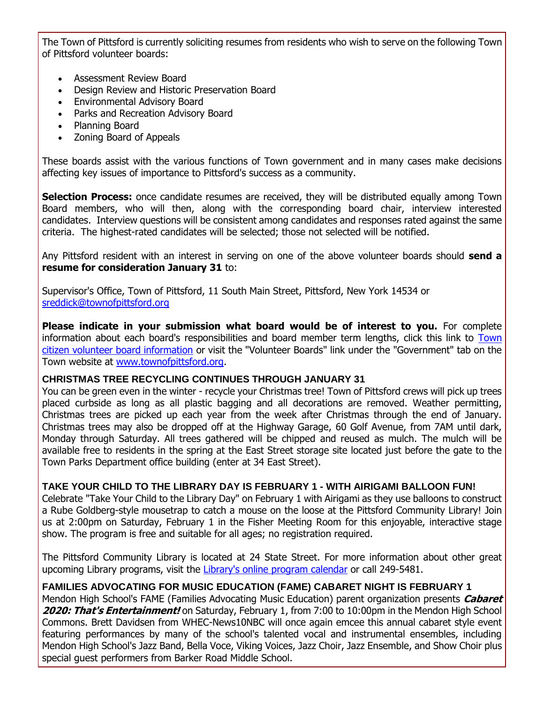The Town of Pittsford is currently soliciting resumes from residents who wish to serve on the following Town of Pittsford volunteer boards:

- Assessment Review Board
- Design Review and Historic Preservation Board
- Environmental Advisory Board
- Parks and Recreation Advisory Board
- Planning Board
- Zoning Board of Appeals

These boards assist with the various functions of Town government and in many cases make decisions affecting key issues of importance to Pittsford's success as a community.

**Selection Process:** once candidate resumes are received, they will be distributed equally among Town Board members, who will then, along with the corresponding board chair, interview interested candidates. Interview questions will be consistent among candidates and responses rated against the same criteria. The highest-rated candidates will be selected; those not selected will be notified.

Any Pittsford resident with an interest in serving on one of the above volunteer boards should **send a resume for consideration January 31** to:

Supervisor's Office, Town of Pittsford, 11 South Main Street, Pittsford, New York 14534 or [sreddick@townofpittsford.org](mailto:sreddick@townofpittsford.org?subject=Town%20Volunteer%20Board%20application)

**Please indicate in your submission what board would be of interest to you.** For complete information about each board's responsibilities and board member term lengths, click this link to [Town](http://r20.rs6.net/tn.jsp?f=001LDSDyJIwQJXJ6aOceqTTuB5RiZpptNpcQhHHBWDykI7TSGontpIgeTmdYsU1MvKYSmmAyYeB95N6-XjFrIldnqzrjebPbRrFZMqS-Ap82uq6hqiGd5Wvy7y6g2xs25P5_k1GLx0QnqKQS7K6pJqGyf0tMlnADYoRJdAYhOeGZMEYm9WfiHLL92eibWGJ9B9XnJ8IOPyqhID85v5y5k55G0L4cV6yVVGvUorBqqMpFEubqR1k1f0Unu8oKceyuFJmkndCdQwsMZbQuIUV3FnS3KY7lF6-HIbEZKDlRin0p3II124T6JIv3F0AB5G2-Azx&c=R7aRLViIehQ0cKgRyUCsXuoRGqUOroMdrw1gVZ6oICfol1BYwUeIeQ==&ch=9mczUhnxsM6ryE-BkTjwlFkSeaPZHcPk4hLOebQFsXzOJG3I1jrFJA==)  [citizen volunteer board information](http://r20.rs6.net/tn.jsp?f=001LDSDyJIwQJXJ6aOceqTTuB5RiZpptNpcQhHHBWDykI7TSGontpIgeTmdYsU1MvKYSmmAyYeB95N6-XjFrIldnqzrjebPbRrFZMqS-Ap82uq6hqiGd5Wvy7y6g2xs25P5_k1GLx0QnqKQS7K6pJqGyf0tMlnADYoRJdAYhOeGZMEYm9WfiHLL92eibWGJ9B9XnJ8IOPyqhID85v5y5k55G0L4cV6yVVGvUorBqqMpFEubqR1k1f0Unu8oKceyuFJmkndCdQwsMZbQuIUV3FnS3KY7lF6-HIbEZKDlRin0p3II124T6JIv3F0AB5G2-Azx&c=R7aRLViIehQ0cKgRyUCsXuoRGqUOroMdrw1gVZ6oICfol1BYwUeIeQ==&ch=9mczUhnxsM6ryE-BkTjwlFkSeaPZHcPk4hLOebQFsXzOJG3I1jrFJA==) or visit the "Volunteer Boards" link under the "Government" tab on the Town website at [www.townofpittsford.org.](http://r20.rs6.net/tn.jsp?f=001LDSDyJIwQJXJ6aOceqTTuB5RiZpptNpcQhHHBWDykI7TSGontpIgeauu7lzaN_q95yQk28l2PxO8Wc22E9sgJ2bke8v3PZG2mvJsZ3LvE1QLmwodhxA5zYOlikyvp8I6FbYrJpG9IrKh25C5prikoc0aCaOGFxT_X4TH10HUfOUc_3Yx3pQgubC-ShA7bjdiQPs1iPzHSfdh5vAxP_6g8kmGIE8gM4qlyUEm5cuVTOjY-er1dLD3nrpIV0DoieyNZbNswNCpftYBeWcmsH2nDSrUQXpYLE3kxtfS8g94l6E=&c=R7aRLViIehQ0cKgRyUCsXuoRGqUOroMdrw1gVZ6oICfol1BYwUeIeQ==&ch=9mczUhnxsM6ryE-BkTjwlFkSeaPZHcPk4hLOebQFsXzOJG3I1jrFJA==)

#### **CHRISTMAS TREE RECYCLING CONTINUES THROUGH JANUARY 31**

You can be green even in the winter - recycle your Christmas tree! Town of Pittsford crews will pick up trees placed curbside as long as all plastic bagging and all decorations are removed. Weather permitting, Christmas trees are picked up each year from the week after Christmas through the end of January. Christmas trees may also be dropped off at the Highway Garage, 60 Golf Avenue, from 7AM until dark, Monday through Saturday. All trees gathered will be chipped and reused as mulch. The mulch will be available free to residents in the spring at the East Street storage site located just before the gate to the Town Parks Department office building (enter at 34 East Street).

#### **TAKE YOUR CHILD TO THE LIBRARY DAY IS FEBRUARY 1 - WITH AIRIGAMI BALLOON FUN!**

Celebrate "Take Your Child to the Library Day" on February 1 with Airigami as they use balloons to construct a Rube Goldberg-style mousetrap to catch a mouse on the loose at the Pittsford Community Library! Join us at 2:00pm on Saturday, February 1 in the Fisher Meeting Room for this enjoyable, interactive stage show. The program is free and suitable for all ages; no registration required.

The Pittsford Community Library is located at 24 State Street. For more information about other great upcoming Library programs, visit the [Library's online program calendar](http://r20.rs6.net/tn.jsp?f=001LDSDyJIwQJXJ6aOceqTTuB5RiZpptNpcQhHHBWDykI7TSGontpIgeZndnNA560LgL0nIbPHFk8mvx1336Ecmej82dxYm4DEyqxvnfhcJKrffcp6eo_X0ScqOeH_02tqGNvVCYlDLTGJRoBvEgVun4BfiFmA5-fbUogwKgVGWl_Vo7En-5aYaPnlK4XQrsfVrU0bBu8bvwR5IsxdPEWPICZJjUizdN3W3BUacz9dfM8JmHAyW9SU5ngmLygY_TNv6HH58rgcY8xtfeg7i2vm7Fvg4A4bYVxnE3ILTXgwdlo1ebvm4KoIXvaHkm79Wd08ZGS51Kl38J3kfz0xmpeUBOQ==&c=R7aRLViIehQ0cKgRyUCsXuoRGqUOroMdrw1gVZ6oICfol1BYwUeIeQ==&ch=9mczUhnxsM6ryE-BkTjwlFkSeaPZHcPk4hLOebQFsXzOJG3I1jrFJA==) or call 249-5481.

#### **FAMILIES ADVOCATING FOR MUSIC EDUCATION (FAME) CABARET NIGHT IS FEBRUARY 1**

Mendon High School's FAME (Families Advocating Music Education) parent organization presents **Cabaret 2020: That's Entertainment!** on Saturday, February 1, from 7:00 to 10:00pm in the Mendon High School Commons. Brett Davidsen from WHEC-News10NBC will once again emcee this annual cabaret style event featuring performances by many of the school's talented vocal and instrumental ensembles, including Mendon High School's Jazz Band, Bella Voce, Viking Voices, Jazz Choir, Jazz Ensemble, and Show Choir plus special guest performers from Barker Road Middle School.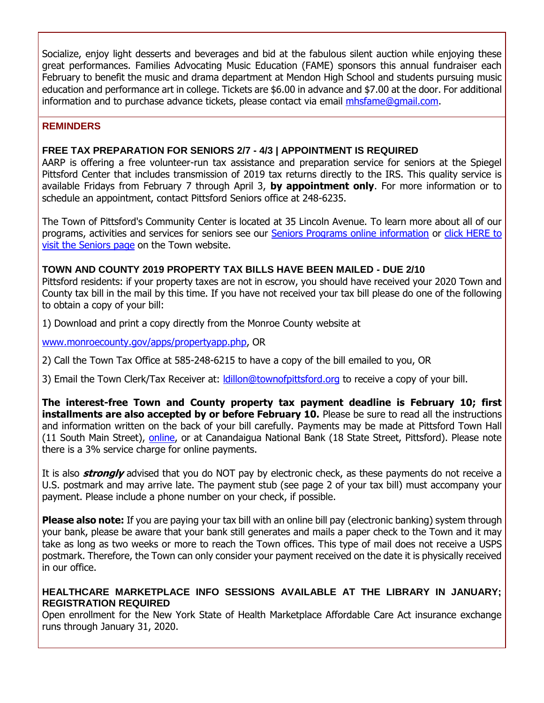Socialize, enjoy light desserts and beverages and bid at the fabulous silent auction while enjoying these great performances. Families Advocating Music Education (FAME) sponsors this annual fundraiser each February to benefit the music and drama department at Mendon High School and students pursuing music education and performance art in college. Tickets are \$6.00 in advance and \$7.00 at the door. For additional information and to purchase advance tickets, please contact via email [mhsfame@gmail.com.](mailto:mhsfame@gmail.com?subject=FAME%20Cabaret%202020)

#### **REMINDERS**

#### **FREE TAX PREPARATION FOR SENIORS 2/7 - 4/3 | APPOINTMENT IS REQUIRED**

AARP is offering a free volunteer-run tax assistance and preparation service for seniors at the Spiegel Pittsford Center that includes transmission of 2019 tax returns directly to the IRS. This quality service is available Fridays from February 7 through April 3, **by appointment only**. For more information or to schedule an appointment, contact Pittsford Seniors office at 248-6235.

The Town of Pittsford's Community Center is located at 35 Lincoln Avenue. To learn more about all of our programs, activities and services for seniors see our [Seniors Programs online information](http://r20.rs6.net/tn.jsp?f=001LDSDyJIwQJXJ6aOceqTTuB5RiZpptNpcQhHHBWDykI7TSGontpIgeS4bnm1MFCuOlHrBs998yd2-CeRwnvFDZJpXTWYPQvgTnZwe-Im1DKqTzNwMKYltk6yMHyvUxv3B7EtGHwxTN3SnPvBgvk0nfkwWE4z1Y3cxHgjFNC4DJ7JlyLKFSf9nXZji8sMKkmQp2x4vuh5_ptU3duA1mq-MozOmAgOB0oNKdFxi1amit_1GRv_sCB2ueD78srFcsa4L8G3EZXV8e0y2JTrBhlvAjAYnf8qAybOk-pN_Ef8hig0YbdPUTvuNEw9JQri-wfSYvQO6UfzlA2uaputIyEGNqWEXeO64PCh9_dQx5T7rZravfA7AJrvBtg==&c=R7aRLViIehQ0cKgRyUCsXuoRGqUOroMdrw1gVZ6oICfol1BYwUeIeQ==&ch=9mczUhnxsM6ryE-BkTjwlFkSeaPZHcPk4hLOebQFsXzOJG3I1jrFJA==) or [click HERE to](http://www.townofpittsford.org/home-seniors?utm_source=eNews+1-22-20&utm_campaign=eNews+01-22-20&utm_medium=email)  [visit the Seniors page](http://www.townofpittsford.org/home-seniors?utm_source=eNews+1-22-20&utm_campaign=eNews+01-22-20&utm_medium=email) on the Town website.

#### **TOWN AND COUNTY 2019 PROPERTY TAX BILLS HAVE BEEN MAILED - DUE 2/10**

Pittsford residents: if your property taxes are not in escrow, you should have received your 2020 Town and County tax bill in the mail by this time. If you have not received your tax bill please do one of the following to obtain a copy of your bill:

1) Download and print a copy directly from the Monroe County website at

[www.monroecounty.gov/apps/propertyapp.php,](http://r20.rs6.net/tn.jsp?f=001LDSDyJIwQJXJ6aOceqTTuB5RiZpptNpcQhHHBWDykI7TSGontpIgeYzcLYY1aYP8To7IGE_IlMpohbG0DCgNh-TBf7_i4u3p0ULViagGQCX221bLhanseslV25olEoPsLj4j2f0MgLQ72d4KOLDmxv3Fgd6nsTFZjDu5bPx0mLrJ2wxWJfrStAIrZJ_ypIbaX53V5WmnG9vo2buHr7gWTJSPOy16J-HQITGBjx9hqeM94X-ZGQOfIoeuQ1mVNaOODR_40-G7PpTjnjbYXbKHKqLdP3823qcbc1NW64YZAPk6ak06g5lztP_TQh6blaTj&c=R7aRLViIehQ0cKgRyUCsXuoRGqUOroMdrw1gVZ6oICfol1BYwUeIeQ==&ch=9mczUhnxsM6ryE-BkTjwlFkSeaPZHcPk4hLOebQFsXzOJG3I1jrFJA==) OR

2) Call the Town Tax Office at 585-248-6215 to have a copy of the bill emailed to you, OR

3) Email the Town Clerk/Tax Receiver at: *Idillon@townofpittsford.org to receive a copy of your bill.* 

**The interest-free Town and County property tax payment deadline is February 10; first installments are also accepted by or before February 10.** Please be sure to read all the instructions and information written on the back of your bill carefully. Payments may be made at Pittsford Town Hall (11 South Main Street), [online,](http://r20.rs6.net/tn.jsp?f=001LDSDyJIwQJXJ6aOceqTTuB5RiZpptNpcQhHHBWDykI7TSGontpIgeYzcLYY1aYP8To7IGE_IlMpohbG0DCgNh-TBf7_i4u3p0ULViagGQCX221bLhanseslV25olEoPsLj4j2f0MgLQ72d4KOLDmxv3Fgd6nsTFZjDu5bPx0mLrJ2wxWJfrStAIrZJ_ypIbaX53V5WmnG9vo2buHr7gWTJSPOy16J-HQITGBjx9hqeM94X-ZGQOfIoeuQ1mVNaOODR_40-G7PpTjnjbYXbKHKqLdP3823qcbc1NW64YZAPk6ak06g5lztP_TQh6blaTj&c=R7aRLViIehQ0cKgRyUCsXuoRGqUOroMdrw1gVZ6oICfol1BYwUeIeQ==&ch=9mczUhnxsM6ryE-BkTjwlFkSeaPZHcPk4hLOebQFsXzOJG3I1jrFJA==) or at Canandaigua National Bank (18 State Street, Pittsford). Please note there is a 3% service charge for online payments.

It is also **strongly** advised that you do NOT pay by electronic check, as these payments do not receive a U.S. postmark and may arrive late. The payment stub (see page 2 of your tax bill) must accompany your payment. Please include a phone number on your check, if possible.

**Please also note:** If you are paying your tax bill with an online bill pay (electronic banking) system through your bank, please be aware that your bank still generates and mails a paper check to the Town and it may take as long as two weeks or more to reach the Town offices. This type of mail does not receive a USPS postmark. Therefore, the Town can only consider your payment received on the date it is physically received in our office.

#### **HEALTHCARE MARKETPLACE INFO SESSIONS AVAILABLE AT THE LIBRARY IN JANUARY; REGISTRATION REQUIRED**

Open enrollment for the New York State of Health Marketplace Affordable Care Act insurance exchange runs through January 31, 2020.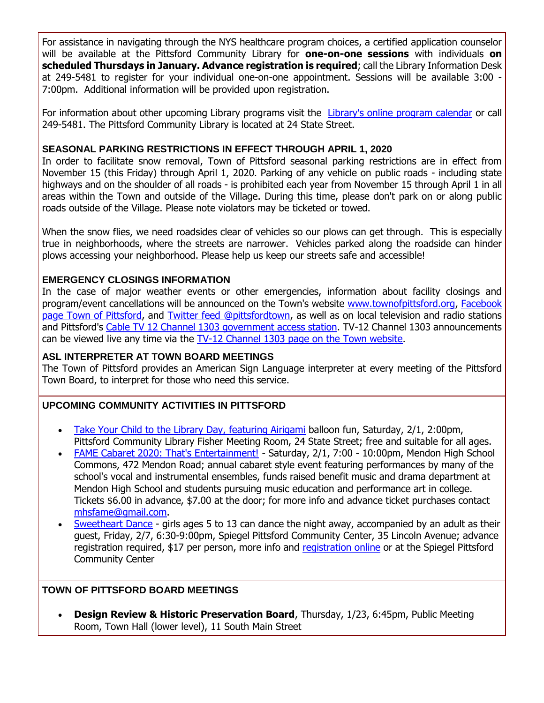For assistance in navigating through the NYS healthcare program choices, a certified application counselor will be available at the Pittsford Community Library for **one-on-one sessions** with individuals **on scheduled Thursdays in January. Advance registration is required**; call the Library Information Desk at 249-5481 to register for your individual one-on-one appointment. Sessions will be available 3:00 - 7:00pm. Additional information will be provided upon registration.

For information about other upcoming Library programs visit the [Library's online program calendar](http://r20.rs6.net/tn.jsp?f=001LDSDyJIwQJXJ6aOceqTTuB5RiZpptNpcQhHHBWDykI7TSGontpIgeRSBaBejXzNmH_Sb9H5Uh6trG9tINoYROEiJ501uHRGq-MZ2RUGVNnpi7Hu3LyOS8O4aG6oO5Bm_ALPs5XubKizLZ_gnpG2LluOvMBaOSU1NwBkDYrO1xrrB7gUPq14bxDngSwXmLTcah5UW_rc0P79CRmh9enBE51kUyfytGIQnafATNxQiMkvGrCtM20MNxrmPncMBFOPz3_3jQ30IFZYp3ujIba1AMrpar-cG1e_9uaZ1eq_D9o5nYXb1hGMJd0iVO1M12jvZTEjaulDajIqNvHz4wag77r1fA7CluC76pbVt31eW0KlCEKJb6JaYSS89jEpHDc7XhLiSuZHwo3A=&c=R7aRLViIehQ0cKgRyUCsXuoRGqUOroMdrw1gVZ6oICfol1BYwUeIeQ==&ch=9mczUhnxsM6ryE-BkTjwlFkSeaPZHcPk4hLOebQFsXzOJG3I1jrFJA==) or call 249-5481. The Pittsford Community Library is located at 24 State Street.

#### **SEASONAL PARKING RESTRICTIONS IN EFFECT THROUGH APRIL 1, 2020**

In order to facilitate snow removal, Town of Pittsford seasonal parking restrictions are in effect from November 15 (this Friday) through April 1, 2020. Parking of any vehicle on public roads - including state highways and on the shoulder of all roads - is prohibited each year from November 15 through April 1 in all areas within the Town and outside of the Village. During this time, please don't park on or along public roads outside of the Village. Please note violators may be ticketed or towed.

When the snow flies, we need roadsides clear of vehicles so our plows can get through. This is especially true in neighborhoods, where the streets are narrower. Vehicles parked along the roadside can hinder plows accessing your neighborhood. Please help us keep our streets safe and accessible!

#### **EMERGENCY CLOSINGS INFORMATION**

In the case of major weather events or other emergencies, information about facility closings and program/event cancellations will be announced on the Town's website [www.townofpittsford.org,](http://townofpittsford.org/?utm_source=eNews+1-22-20&utm_campaign=eNews+01-22-20&utm_medium=email) [Facebook](https://www.facebook.com/pages/Town-of-Pittsford/139082619464200)  [page Town of Pittsford,](https://www.facebook.com/pages/Town-of-Pittsford/139082619464200) and [Twitter feed @pittsfordtown,](http://r20.rs6.net/tn.jsp?f=001LDSDyJIwQJXJ6aOceqTTuB5RiZpptNpcQhHHBWDykI7TSGontpIgefrMkKpCyQuhwu4PtFDnzxkJ5qB4h5AAvlWPJLjeNOfpvBcX43DvO8j9J6A2hajWY4vGGmZfNi1Agq9wxhrc6JCXazZN3WxnI0Q710juXfGKpLaeGSkAsfui5Khy2HYa1w==&c=R7aRLViIehQ0cKgRyUCsXuoRGqUOroMdrw1gVZ6oICfol1BYwUeIeQ==&ch=9mczUhnxsM6ryE-BkTjwlFkSeaPZHcPk4hLOebQFsXzOJG3I1jrFJA==) as well as on local television and radio stations and Pittsford's [Cable TV 12 Channel 1303 government access station.](http://townofpittsford.org/home-channel12?utm_source=eNews+1-22-20&utm_campaign=eNews+01-22-20&utm_medium=email) TV-12 Channel 1303 announcements can be viewed live any time via the [TV-12 Channel 1303 page on the Town website.](http://townofpittsford.org/home-channel12?utm_source=eNews+1-22-20&utm_campaign=eNews+01-22-20&utm_medium=email)

#### **ASL INTERPRETER AT TOWN BOARD MEETINGS**

The Town of Pittsford provides an American Sign Language interpreter at every meeting of the Pittsford Town Board, to interpret for those who need this service.

#### **UPCOMING COMMUNITY ACTIVITIES IN PITTSFORD**

- [Take Your Child to the Library Day, featuring Airigami](http://r20.rs6.net/tn.jsp?f=001LDSDyJIwQJXJ6aOceqTTuB5RiZpptNpcQhHHBWDykI7TSGontpIgebInkbNiAsOlCdrZviDBS-ZM1-1lVnpfnzeobfsFaTZyIHCkU1aYZt2dtiKi3PQVUdNvitVdECMEfD3i-e5rrq4ng7idBztEUo74gzvEhUkqMTG5zPTjbANaLRkalLC8foFEEUv71nok3JtX0PwgW-MCFyuI1-8IaK6zQr0xkN2K7U6UgwJTkV-uNl9FN1LDxzkWNlCtVl8Op3aytqq_cDCg6ty7F4sFQ_dMM9Wbf2Yh8WpR87vVg_bq92xmLTs9GNtnCcwk2hE9&c=R7aRLViIehQ0cKgRyUCsXuoRGqUOroMdrw1gVZ6oICfol1BYwUeIeQ==&ch=9mczUhnxsM6ryE-BkTjwlFkSeaPZHcPk4hLOebQFsXzOJG3I1jrFJA==) balloon fun, Saturday, 2/1, 2:00pm, Pittsford Community Library Fisher Meeting Room, 24 State Street; free and suitable for all ages.
- [FAME Cabaret 2020: That's Entertainment!](http://r20.rs6.net/tn.jsp?f=001LDSDyJIwQJXJ6aOceqTTuB5RiZpptNpcQhHHBWDykI7TSGontpIgebInkbNiAsOlag1ZZYXQq4vro0GePEEbHp1QXIAPIxHt1ZD0EGMgkyZJErE5E6exrLyIiUIvM8O602Kv9hCq9BBu0fDyegHbzVRXSKYOsTD3jlo1cup0vrbI_ukRo2i2MdOY5T_ptm_ZMmE9X4djen8Qm3TrGeE8QwFTsQjeyKtD_REuoDZTXs1cDR139b_c8clnO0AeIwkA8H2oxfasy55s_BD0SGwxEXTd0uJ1c7xGOs_ujpZLnfRUKxwMOdvU01w2f78UfNAnfBW0CH1jYZYWdyhiJDH9Eq2L3O20nlp5eUmTblFgIT5m36N53mjOcKaWqWr74S8Gs0hiFLvoHYAOOTk5TG6szEdbiKPm6FjUGDRN9P8Mb5y8JPF-EJ3xJ5n-iCdNJf0p4vY9sB4jVDPfmHfXFXwe3Sm8qxAdj9eb6aWjVKX32Z6k2BR1ci0hhfsz1fLFcrAuoz-6KVbWS1Dl9U_MeGK65P6kPnA7GTXA&c=R7aRLViIehQ0cKgRyUCsXuoRGqUOroMdrw1gVZ6oICfol1BYwUeIeQ==&ch=9mczUhnxsM6ryE-BkTjwlFkSeaPZHcPk4hLOebQFsXzOJG3I1jrFJA==) Saturday, 2/1, 7:00 10:00pm, Mendon High School Commons, 472 Mendon Road; annual cabaret style event featuring performances by many of the school's vocal and instrumental ensembles, funds raised benefit music and drama department at Mendon High School and students pursuing music education and performance art in college. Tickets \$6.00 in advance, \$7.00 at the door; for more info and advance ticket purchases contact [mhsfame@gmail.com.](mailto:mhsfame@gmail.com)
- [Sweetheart Dance](http://r20.rs6.net/tn.jsp?f=001LDSDyJIwQJXJ6aOceqTTuB5RiZpptNpcQhHHBWDykI7TSGontpIgeRPxQ7BQa8lW6OM7rOyxpF5ToDu1ZIYGAX6MTnRzYXMOF05VSfMtpxj5P6vvdemyH9s6Mb2rSnjaycVil1GB_ISqoit7c-j_oAdLHmqzwhVf2KNTrb9a23N3lHlyIDnGt4ff0AVLamtMRlTa0ZN_K5UAvJ7u_Y0V4FZ9hkz6p4D1p1eF5H_yNB-iyZoUiKkme9ATHJsn5rjd1S-yN7RmGKRd4M5o8KV8JkYZT28MXRlbjTEaqvsy2sd0EqFkt6kWnG5s9WS_b-0P6r8LqVoA-YZOKpdbz1HiSC2Xqpoa_B20&c=R7aRLViIehQ0cKgRyUCsXuoRGqUOroMdrw1gVZ6oICfol1BYwUeIeQ==&ch=9mczUhnxsM6ryE-BkTjwlFkSeaPZHcPk4hLOebQFsXzOJG3I1jrFJA==) girls ages 5 to 13 can dance the night away, accompanied by an adult as their guest, Friday, 2/7, 6:30-9:00pm, Spiegel Pittsford Community Center, 35 Lincoln Avenue; advance registration required, \$17 per person, more info and [registration online](http://r20.rs6.net/tn.jsp?f=001LDSDyJIwQJXJ6aOceqTTuB5RiZpptNpcQhHHBWDykI7TSGontpIgeXU_vJG1C207qiNNpoxE5FdlJXR9OG6MTmp8K8h5a7voOStVAJA8-upDyJSfYxXp6rz5WlOyoRARDMQyY62RfuyaKwpyU5HXAuqhm8pkAjbCpWOJ5neFhAxO9iUMHZ-nXxq5Ehr0Jl4ULb_ZA8RNx6SCrtMMsOZNjEcBloiOSvSUABs6LGJYsCXQwZYZb3gABRwK76F7htrXNdPlCEPk3XmOVjRNL7Oq6g6W9J43wflQsVsUTW6JqXUNa02Hp37NXiWdD5FX6ekpn7znPNzQmOe27cQ3wT33YmuVQrNBHdQ8&c=R7aRLViIehQ0cKgRyUCsXuoRGqUOroMdrw1gVZ6oICfol1BYwUeIeQ==&ch=9mczUhnxsM6ryE-BkTjwlFkSeaPZHcPk4hLOebQFsXzOJG3I1jrFJA==) or at the Spiegel Pittsford Community Center

#### **TOWN OF PITTSFORD BOARD MEETINGS**

 **Design Review & Historic Preservation Board**, Thursday, 1/23, 6:45pm, Public Meeting Room, Town Hall (lower level), 11 South Main Street